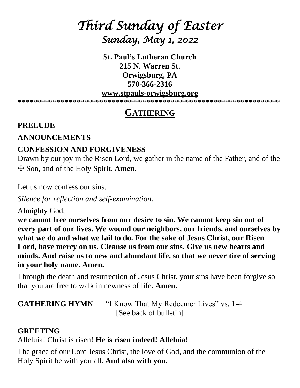# *Third Sunday of Easter Sunday, May 1, 2022*

**St. Paul's Lutheran Church 215 N. Warren St. Orwigsburg, PA 570-366-2316** 

#### **[www.stpauls-orwigsburg.org](http://www.stpauls-orwigsburg.org/)**

\*\*\*\*\*\*\*\*\*\*\*\*\*\*\*\*\*\*\*\*\*\*\*\*\*\*\*\*\*\*\*\*\*\*\*\*\*\*\*\*\*\*\*\*\*\*\*\*\*\*\*\*\*\*\*\*\*\*\*\*\*\*\*\*\*\*\*

## **GATHERING**

#### **PRELUDE**

## **ANNOUNCEMENTS**

## **CONFESSION AND FORGIVENESS**

Drawn by our joy in the Risen Lord, we gather in the name of the Father, and of the ☩ Son, and of the Holy Spirit. **Amen.**

Let us now confess our sins.

*Silence for reflection and self-examination.*

Almighty God,

**we cannot free ourselves from our desire to sin. We cannot keep sin out of every part of our lives. We wound our neighbors, our friends, and ourselves by what we do and what we fail to do. For the sake of Jesus Christ, our Risen Lord, have mercy on us. Cleanse us from our sins. Give us new hearts and minds. And raise us to new and abundant life, so that we never tire of serving in your holy name. Amen.**

Through the death and resurrection of Jesus Christ, your sins have been forgive so that you are free to walk in newness of life. **Amen.**

**GATHERING HYMN** "I Know That My Redeemer Lives" vs. 1-4 [See back of bulletin]

## **GREETING**

Alleluia! Christ is risen! **He is risen indeed! Alleluia!**

The grace of our Lord Jesus Christ, the love of God, and the communion of the Holy Spirit be with you all. **And also with you.**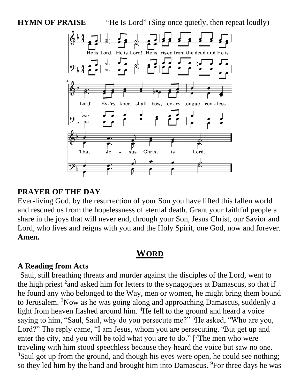**HYMN OF PRAISE** "He Is Lord" (Sing once quietly, then repeat loudly)



## **PRAYER OF THE DAY**

Ever-living God, by the resurrection of your Son you have lifted this fallen world and rescued us from the hopelessness of eternal death. Grant your faithful people a share in the joys that will never end, through your Son, Jesus Christ, our Savior and Lord, who lives and reigns with you and the Holy Spirit, one God, now and forever. **Amen.**

## **WORD**

#### **A Reading from Acts**

<sup>1</sup>Saul, still breathing threats and murder against the disciples of the Lord, went to the high priest  $2$  and asked him for letters to the synagogues at Damascus, so that if he found any who belonged to the Way, men or women, he might bring them bound to Jerusalem. <sup>3</sup>Now as he was going along and approaching Damascus, suddenly a light from heaven flashed around him. <sup>4</sup>He fell to the ground and heard a voice saying to him, "Saul, Saul, why do you persecute me?" <sup>5</sup>He asked, "Who are you, Lord?" The reply came, "I am Jesus, whom you are persecuting. <sup>6</sup>But get up and enter the city, and you will be told what you are to do."  $[7$ The men who were traveling with him stood speechless because they heard the voice but saw no one. <sup>8</sup>Saul got up from the ground, and though his eyes were open, he could see nothing; so they led him by the hand and brought him into Damascus. <sup>9</sup>For three days he was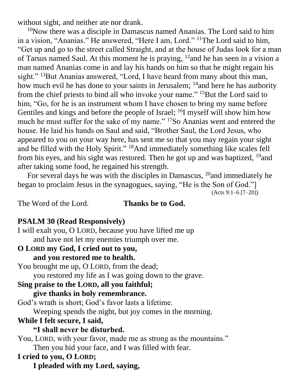without sight, and neither ate nor drank.

 $10$ Now there was a disciple in Damascus named Ananias. The Lord said to him in a vision, "Ananias." He answered, "Here I am, Lord." <sup>11</sup>The Lord said to him, "Get up and go to the street called Straight, and at the house of Judas look for a man of Tarsus named Saul. At this moment he is praying, <sup>12</sup>and he has seen in a vision a man named Ananias come in and lay his hands on him so that he might regain his sight." <sup>13</sup>But Ananias answered, "Lord, I have heard from many about this man, how much evil he has done to your saints in Jerusalem; <sup>14</sup> and here he has authority from the chief priests to bind all who invoke your name." <sup>15</sup>But the Lord said to him, "Go, for he is an instrument whom I have chosen to bring my name before Gentiles and kings and before the people of Israel; <sup>16</sup>I myself will show him how much he must suffer for the sake of my name." <sup>17</sup>So Ananias went and entered the house. He laid his hands on Saul and said, "Brother Saul, the Lord Jesus, who appeared to you on your way here, has sent me so that you may regain your sight and be filled with the Holy Spirit." <sup>18</sup>And immediately something like scales fell from his eyes, and his sight was restored. Then he got up and was baptized,  $^{19}$ and after taking some food, he regained his strength.

For several days he was with the disciples in Damascus, <sup>20</sup>and immediately he began to proclaim Jesus in the synagogues, saying, "He is the Son of God."] (Acts 9:1–6 [7–20])

The Word of the Lord. **Thanks be to God.**

## **PSALM 30 (Read Responsively)**

I will exalt you, O LORD, because you have lifted me up and have not let my enemies triumph over me.

**O LORD my God, I cried out to you, and you restored me to health.** You brought me up, O LORD, from the dead; you restored my life as I was going down to the grave. **Sing praise to the LORD, all you faithful; give thanks in holy remembrance.** God's wrath is short; God's favor lasts a lifetime. Weeping spends the night, but joy comes in the morning. **While I felt secure, I said, "I shall never be disturbed.** You, LORD, with your favor, made me as strong as the mountains." Then you hid your face, and I was filled with fear. **I cried to you, O LORD; I pleaded with my Lord, saying,**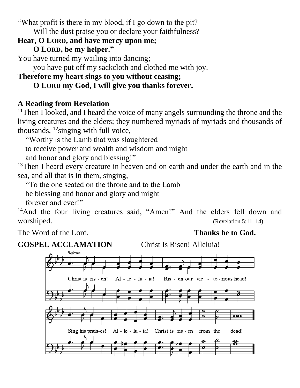"What profit is there in my blood, if I go down to the pit?

Will the dust praise you or declare your faithfulness?

## **Hear, O LORD, and have mercy upon me; O LORD, be my helper."**

You have turned my wailing into dancing;

you have put off my sackcloth and clothed me with joy.

## **Therefore my heart sings to you without ceasing;**

## **O LORD my God, I will give you thanks forever.**

## **A Reading from Revelation**

<sup>11</sup>Then I looked, and I heard the voice of many angels surrounding the throne and the living creatures and the elders; they numbered myriads of myriads and thousands of thousands,  $\frac{12}{\text{sing}}$  with full voice,

"Worthy is the Lamb that was slaughtered

to receive power and wealth and wisdom and might

and honor and glory and blessing!"

<sup>13</sup>Then I heard every creature in heaven and on earth and under the earth and in the sea, and all that is in them, singing,

"To the one seated on the throne and to the Lamb

be blessing and honor and glory and might

forever and ever!"

<sup>14</sup>And the four living creatures said, "Amen!" And the elders fell down and worshiped. (Revelation 5:11–14)

The Word of the Lord. **Thanks be to God.** 

**GOSPEL ACCLAMATION** Christ Is Risen! Alleluia!

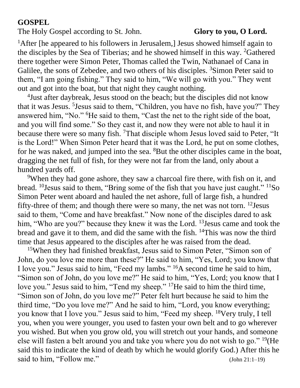## **GOSPEL**

The Holy Gospel according to St. John. **Glory to you, O Lord.** 

<sup>1</sup>After [he appeared to his followers in Jerusalem,] Jesus showed himself again to the disciples by the Sea of Tiberias; and he showed himself in this way. <sup>2</sup>Gathered there together were Simon Peter, Thomas called the Twin, Nathanael of Cana in Galilee, the sons of Zebedee, and two others of his disciples. <sup>3</sup>Simon Peter said to them, "I am going fishing." They said to him, "We will go with you." They went out and got into the boat, but that night they caught nothing.

4 Just after daybreak, Jesus stood on the beach; but the disciples did not know that it was Jesus. <sup>5</sup>Jesus said to them, "Children, you have no fish, have you?" They answered him, "No." <sup>6</sup>He said to them, "Cast the net to the right side of the boat, and you will find some." So they cast it, and now they were not able to haul it in because there were so many fish. <sup>7</sup>That disciple whom Jesus loved said to Peter, "It is the Lord!" When Simon Peter heard that it was the Lord, he put on some clothes, for he was naked, and jumped into the sea. <sup>8</sup>But the other disciples came in the boat, dragging the net full of fish, for they were not far from the land, only about a hundred yards off.

<sup>9</sup>When they had gone ashore, they saw a charcoal fire there, with fish on it, and bread. <sup>10</sup>Jesus said to them, "Bring some of the fish that you have just caught." <sup>11</sup>So Simon Peter went aboard and hauled the net ashore, full of large fish, a hundred fifty-three of them; and though there were so many, the net was not torn. <sup>12</sup> Jesus said to them, "Come and have breakfast." Now none of the disciples dared to ask him, "Who are you?" because they knew it was the Lord. <sup>13</sup> Jesus came and took the bread and gave it to them, and did the same with the fish. <sup>14</sup>This was now the third time that Jesus appeared to the disciples after he was raised from the dead.

<sup>15</sup>When they had finished breakfast, Jesus said to Simon Peter, "Simon son of John, do you love me more than these?" He said to him, "Yes, Lord; you know that I love you." Jesus said to him, "Feed my lambs." <sup>16</sup>A second time he said to him, "Simon son of John, do you love me?" He said to him, "Yes, Lord; you know that I love you." Jesus said to him, "Tend my sheep." <sup>17</sup>He said to him the third time, "Simon son of John, do you love me?" Peter felt hurt because he said to him the third time, "Do you love me?" And he said to him, "Lord, you know everything; you know that I love you." Jesus said to him, "Feed my sheep. <sup>18</sup>Very truly, I tell you, when you were younger, you used to fasten your own belt and to go wherever you wished. But when you grow old, you will stretch out your hands, and someone else will fasten a belt around you and take you where you do not wish to go." <sup>19</sup>(He said this to indicate the kind of death by which he would glorify God.) After this he said to him, "Follow me." (John 21:1–19)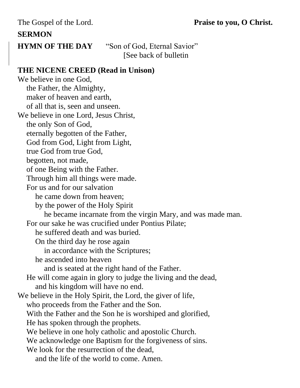The Gospel of the Lord. **Praise to you, O Christ.**

## **SERMON**

**HYMN OF THE DAY** "Son of God, Eternal Savior" [See back of bulletin

## **THE NICENE CREED (Read in Unison)**

We believe in one God, the Father, the Almighty, maker of heaven and earth, of all that is, seen and unseen. We believe in one Lord, Jesus Christ, the only Son of God, eternally begotten of the Father, God from God, Light from Light, true God from true God, begotten, not made, of one Being with the Father. Through him all things were made. For us and for our salvation he came down from heaven; by the power of the Holy Spirit he became incarnate from the virgin Mary, and was made man. For our sake he was crucified under Pontius Pilate; he suffered death and was buried. On the third day he rose again in accordance with the Scriptures; he ascended into heaven and is seated at the right hand of the Father. He will come again in glory to judge the living and the dead, and his kingdom will have no end. We believe in the Holy Spirit, the Lord, the giver of life, who proceeds from the Father and the Son. With the Father and the Son he is worshiped and glorified, He has spoken through the prophets. We believe in one holy catholic and apostolic Church. We acknowledge one Baptism for the forgiveness of sins. We look for the resurrection of the dead, and the life of the world to come. Amen.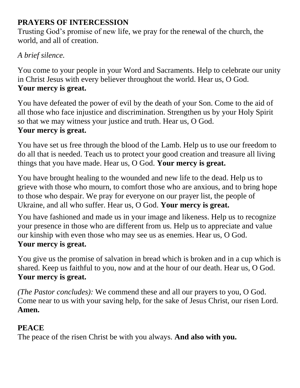## **PRAYERS OF INTERCESSION**

Trusting God's promise of new life, we pray for the renewal of the church, the world, and all of creation.

## *A brief silence.*

You come to your people in your Word and Sacraments. Help to celebrate our unity in Christ Jesus with every believer throughout the world. Hear us, O God. **Your mercy is great.**

You have defeated the power of evil by the death of your Son. Come to the aid of all those who face injustice and discrimination. Strengthen us by your Holy Spirit so that we may witness your justice and truth. Hear us, O God. **Your mercy is great.**

You have set us free through the blood of the Lamb. Help us to use our freedom to do all that is needed. Teach us to protect your good creation and treasure all living things that you have made. Hear us, O God. **Your mercy is great.**

You have brought healing to the wounded and new life to the dead. Help us to grieve with those who mourn, to comfort those who are anxious, and to bring hope to those who despair. We pray for everyone on our prayer list, the people of Ukraine, and all who suffer. Hear us, O God. **Your mercy is great.**

You have fashioned and made us in your image and likeness. Help us to recognize your presence in those who are different from us. Help us to appreciate and value our kinship with even those who may see us as enemies. Hear us, O God. **Your mercy is great.**

You give us the promise of salvation in bread which is broken and in a cup which is shared. Keep us faithful to you, now and at the hour of our death. Hear us, O God. **Your mercy is great.**

*(The Pastor concludes):* We commend these and all our prayers to you, O God. Come near to us with your saving help, for the sake of Jesus Christ, our risen Lord. **Amen.**

## **PEACE**

The peace of the risen Christ be with you always. **And also with you.**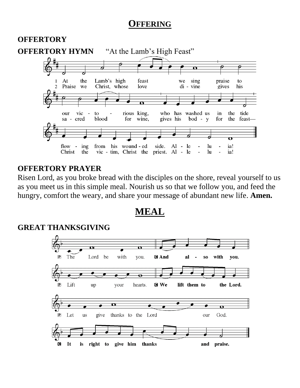## **OFFERING**



## **OFFERTORY PRAYER**

Risen Lord, as you broke bread with the disciples on the shore, reveal yourself to us as you meet us in this simple meal. Nourish us so that we follow you, and feed the hungry, comfort the weary, and share your message of abundant new life. **Amen.**

**MEAL**

#### **GREAT THANKSGIVING**

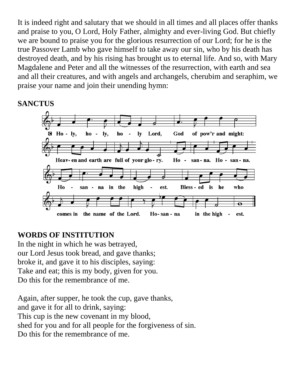It is indeed right and salutary that we should in all times and all places offer thanks and praise to you, O Lord, Holy Father, almighty and ever-living God. But chiefly we are bound to praise you for the glorious resurrection of our Lord; for he is the true Passover Lamb who gave himself to take away our sin, who by his death has destroyed death, and by his rising has brought us to eternal life. And so, with Mary Magdalene and Peter and all the witnesses of the resurrection, with earth and sea and all their creatures, and with angels and archangels, cherubim and seraphim, we praise your name and join their unending hymn:

## **SANCTUS**



## **WORDS OF INSTITUTION**

In the night in which he was betrayed, our Lord Jesus took bread, and gave thanks; broke it, and gave it to his disciples, saying: Take and eat; this is my body, given for you. Do this for the remembrance of me.

Again, after supper, he took the cup, gave thanks, and gave it for all to drink, saying: This cup is the new covenant in my blood, shed for you and for all people for the forgiveness of sin. Do this for the remembrance of me.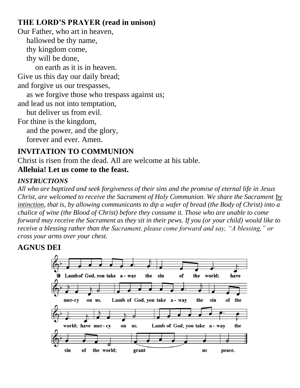## **THE LORD'S PRAYER (read in unison)**

Our Father, who art in heaven, hallowed be thy name, thy kingdom come, thy will be done, on earth as it is in heaven. Give us this day our daily bread; and forgive us our trespasses, as we forgive those who trespass against us; and lead us not into temptation, but deliver us from evil. For thine is the kingdom, and the power, and the glory, forever and ever. Amen.

## **INVITATION TO COMMUNION**

Christ is risen from the dead. All are welcome at his table. **Alleluia! Let us come to the feast.**

#### *INSTRUCTIONS*

*All who are baptized and seek forgiveness of their sins and the promise of eternal life in Jesus Christ, are welcomed to receive the Sacrament of Holy Communion. We share the Sacrament by intinction, that is, by allowing communicants to dip a wafer of bread (the Body of Christ) into a chalice of wine (the Blood of Christ) before they consume it. Those who are unable to come forward may receive the Sacrament as they sit in their pews. If you (or your child) would like to receive a blessing rather than the Sacrament, please come forward and say, "A blessing," or cross your arms over your chest.*

## **AGNUS DEI**

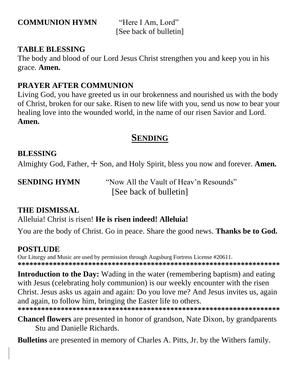**COMMUNION HYMN** "Here I Am, Lord"

[See back of bulletin]

## **TABLE BLESSING**

The body and blood of our Lord Jesus Christ strengthen you and keep you in his grace. **Amen.**

## **PRAYER AFTER COMMUNION**

Living God, you have greeted us in our brokenness and nourished us with the body of Christ, broken for our sake. Risen to new life with you, send us now to bear your healing love into the wounded world, in the name of our risen Savior and Lord. **Amen.**

## **SENDING**

## **BLESSING**

Almighty God, Father, ☩ Son, and Holy Spirit, bless you now and forever. **Amen.**

**SENDING HYMN** "Now All the Vault of Heav'n Resounds" [See back of bulletin]

## **THE DISMISSAL**

Alleluia! Christ is risen! **He is risen indeed! Alleluia!**

You are the body of Christ. Go in peace. Share the good news. **Thanks be to God.**

## **POSTLUDE**

Our Liturgy and Music are used by permission through Augsburg Fortress License #20611. **\*\*\*\*\*\*\*\*\*\*\*\*\*\*\*\*\*\*\*\*\*\*\*\*\*\*\*\*\*\*\*\*\*\*\*\*\*\*\*\*\*\*\*\*\*\*\*\*\*\*\*\*\*\*\*\*\*\*\*\*\*\*\*\*\*\*\***

**Introduction to the Day:** Wading in the water (remembering baptism) and eating with Jesus (celebrating holy communion) is our weekly encounter with the risen Christ. Jesus asks us again and again: Do you love me? And Jesus invites us, again and again, to follow him, bringing the Easter life to others. **\*\*\*\*\*\*\*\*\*\*\*\*\*\*\*\*\*\*\*\*\*\*\*\*\*\*\*\*\*\*\*\*\*\*\*\*\*\*\*\*\*\*\*\*\*\*\*\*\*\*\*\*\*\*\*\*\*\*\*\*\*\*\*\*\*\*\***

**Chancel flowers** are presented in honor of grandson, Nate Dixon, by grandparents Stu and Danielle Richards.

**Bulletins** are presented in memory of Charles A. Pitts, Jr. by the Withers family.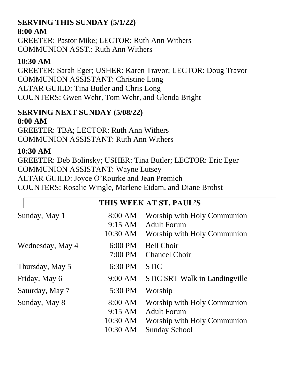### **SERVING THIS SUNDAY (5/1/22) 8:00 AM**

GREETER: Pastor Mike; LECTOR: Ruth Ann Withers COMMUNION ASST.: Ruth Ann Withers

## **10:30 AM**

GREETER: Sarah Eger; USHER: Karen Travor; LECTOR: Doug Travor COMMUNION ASSISTANT: Christine Long ALTAR GUILD: Tina Butler and Chris Long COUNTERS: Gwen Wehr, Tom Wehr, and Glenda Bright

## **SERVING NEXT SUNDAY (5/08/22) 8:00 AM**

GREETER: TBA; LECTOR: Ruth Ann Withers COMMUNION ASSISTANT: Ruth Ann Withers

## **10:30 AM**

GREETER: Deb Bolinsky; USHER: Tina Butler; LECTOR: Eric Eger COMMUNION ASSISTANT: Wayne Lutsey ALTAR GUILD: Joyce O'Rourke and Jean Premich COUNTERS: Rosalie Wingle, Marlene Eidam, and Diane Brobst

| THIS WEEK AT ST. PAUL'S |                                                      |                                                                                                          |
|-------------------------|------------------------------------------------------|----------------------------------------------------------------------------------------------------------|
| Sunday, May 1           | $8:00 \text{ AM}$<br>$9:15 \text{ AM}$<br>10:30 AM   | Worship with Holy Communion<br><b>Adult Forum</b><br>Worship with Holy Communion                         |
| Wednesday, May 4        | $6:00 \text{ PM}$<br>$7:00$ PM                       | <b>Bell Choir</b><br><b>Chancel Choir</b>                                                                |
| Thursday, May 5         | 6:30 PM                                              | <b>STiC</b>                                                                                              |
| Friday, May 6           | 9:00 AM                                              | STIC SRT Walk in Landingville                                                                            |
| Saturday, May 7         | 5:30 PM                                              | Worship                                                                                                  |
| Sunday, May 8           | 8:00 AM<br>$9:15 \text{ AM}$<br>10:30 AM<br>10:30 AM | Worship with Holy Communion<br><b>Adult Forum</b><br>Worship with Holy Communion<br><b>Sunday School</b> |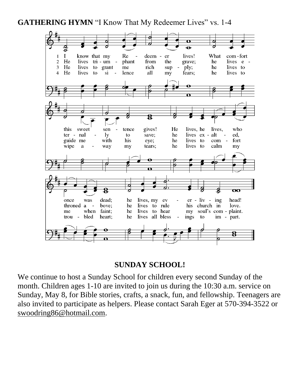GATHERING HYMN "I Know That My Redeemer Lives" vs. 1-4



## **SUNDAY SCHOOL!**

We continue to host a Sunday School for children every second Sunday of the month. Children ages 1-10 are invited to join us during the 10:30 a.m. service on Sunday, May 8, for Bible stories, crafts, a snack, fun, and fellowship. Teenagers are also invited to participate as helpers. Please contact Sarah Eger at 570-394-3522 or [swoodring86@hotmail.com.](mailto:swoodring86@hotmail.com)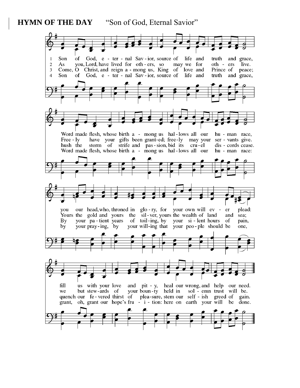#### **HYMN OF THE DAY** "Son of God, Eternal Savior"

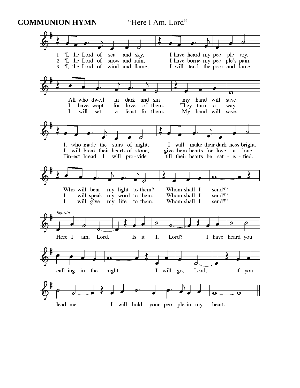**COMMUNION HYMN** "Here I Am, Lord"